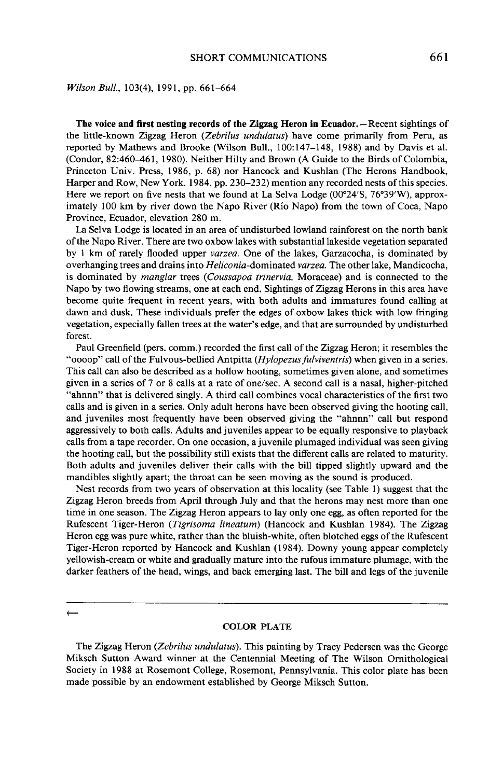**Wilson Bull., 103(4), 1991, pp. 661-664** 

**The voice and first nesting records of the Zigzag Heron in Ecuador.-Recent sightings of the little-known Zigzag Heron (Zebrilus undulutus) have come primarily from Peru, as reported by Mathews and Brooke (Wilson Bull., 100: 147-148, 1988) and by Davis et al. (Condor, 82:460-46 1, 1980). Neither Hilty and Brown (A Guide to the Birds of Colombia, Princeton Univ. Press, 1986, p. 68) nor Hancock and Kushlan (The Herons Handbook, Harper and Row, New York, 1984, pp. 230-232) mention any recorded nests of this species. Here we report on five nests that we found at La Selva Lodge (00"24'S, 76"39'W), approximately 100 km by river down the Napo River (Rio Napo) from the town of Coca, Napo Province, Ecuador, elevation 280 m.** 

**La Selva Lodge is located in an area of undisturbed lowland rainforest on the north bank of the Napo River. There are two oxbow lakes with substantial lakeside vegetation separated by 1 km of rarely flooded upper vurzeu. One of the lakes, Garzacocha, is dominated by overhanging trees and drains into Heliconia-dominated varzea. The other lake, Mandicocha, is dominated by manglar trees (Coussapoa trinervia, Moraceae) and is connected to the Napo by two flowing streams, one at each end. Sightings of Zigzag Herons in this area have become quite frequent in recent years, with both adults and immatures found calling at dawn and dusk. These individuals prefer the edges of oxbow lakes thick with low fringing vegetation, especially fallen trees at the water's edge, and that are surrounded by undisturbed forest.** 

**Paul Greenfield (pers. comm.) recorded the first call of the Zigzag Heron; it resembles the "oooop" call of the Fulvous-bellied Antpitta (Hylopezus fulviventris) when given in a series. This call can also be described as a hollow hooting, sometimes given alone, and sometimes given in a series of 7 or 8 calls at a rate of one/set. A second call is a nasal, higher-pitched "ahnnn" that is delivered singly. A third call combines vocal characteristics of the first two calls and is given in a series. Only adult herons have been observed giving the hooting call, and juveniles most frequently have been observed giving the "ahnnn" call but respond aggressively to both calls. Adults and juveniles appear to be equally responsive to playback calls from a tape recorder. On one occasion, a juvenile plumaged individual was seen giving the hooting call, but the possibility still exists that the different calls are related to maturity. Both adults and juveniles deliver their calls with the bill tipped slightly upward and the mandibles slightly apart; the throat can be seen moving as the sound is produced.** 

Nest records from two years of observation at this locality (see Table 1) suggest that the **Zigzag Heron breeds from April through July and that the herons may nest more than one time in one season. The Zigzag Heron appears to lay only one egg, as often reported for the Rufescent Tiger-Heron (Tigrisoma lineatum) (Hancock and Kushlan 1984). The Zigzag Heron egg was pure white, rather than the bluish-white, often blotched eggs of the Rufescent Tiger-Heron reported by Hancock and Kushlan (1984). Downy young appear completely yellowish-cream or white and gradually mature into the rufous immature plumage, with the darker feathers of the head, wings, and back emerging last. The bill and legs of the juvenile** 

**t** 

## **COLOR PLATE**

**The Zigzag Heron (Zebrilus undulatus). This painting by Tracy Pedersen was the George Miksch Sutton Award winner at the Centennial Meeting of The Wilson Ornithological Society in 1988 at Rosemont College, Rosemont, Pennsylvania. This color plate has been made possible by an endowment established by George Miksch Sutton.**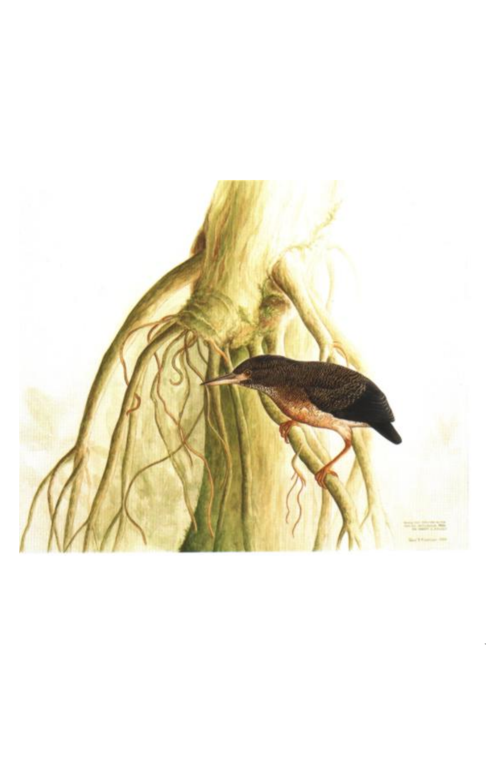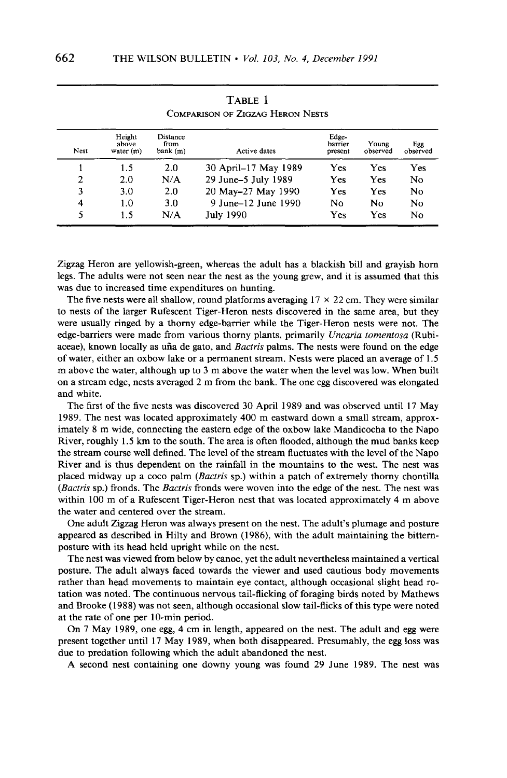| Nest | Height<br>above<br>water $(m)$ | <b>Distance</b><br>from<br>bank(m) | Active dates         | Edge-<br>barrier<br>present | Young<br>observed | Egg<br>observed |
|------|--------------------------------|------------------------------------|----------------------|-----------------------------|-------------------|-----------------|
|      | 1.5                            | 2.0                                | 30 April-17 May 1989 | <b>Yes</b>                  | Yes               | Yes             |
| 2    | 2.0                            | N/A                                | 29 June-5 July 1989  | Yes                         | Yes               | No              |
| 3    | 3.0                            | 2.0                                | 20 May-27 May 1990   | Yes                         | Yes               | No              |
| 4    | 1.0                            | 3.0                                | 9 June–12 June 1990  | No                          | No                | No              |
| 5    | 1.5                            | N/A                                | July 1990            | Yes                         | Yes               | No              |

**TABLE 1** 

**Zigzag Heron are yellowish-green, whereas the adult has a blackish bill and grayish horn legs. The adults were not seen near the nest as the young grew, and it is assumed that this was due to increased time expenditures on hunting.** 

The five nests were all shallow, round platforms averaging  $17 \times 22$  cm. They were similar **to nests of the larger Rufescent Tiger-Heron nests discovered in the same area, but they were usually ringed by a thorny edge-barrier while the Tiger-Heron nests were not. The edge-barriers were made from various thorny plants, primarily Uncaria tomentosa (Rubiaceae), known locally as uiia de gato, and Bactris palms. The nests were found on the edge of water, either an oxbow lake or a permanent stream. Nests were placed an average of 1.5 m above the water, although up to 3 m above the water when the level was low. When built on a stream edge, nests averaged 2 m from the bank. The one egg discovered was elongated and white.** 

**The first of the five nests was discovered 30 April 1989 and was observed until 17 May 1989. The nest was located approximately 400 m eastward down a small stream, approximately 8 m wide, connecting the eastern edge of the oxbow lake Mandicocha to the Napo River, roughly 1.5 km to the south. The area is often flooded, although the mud banks keep the stream course well defined. The level of the stream fluctuates with the level of the Napo River and is thus dependent on the rainfall in the mountains to the west. The nest was placed midway up a coca palm (Bactris sp.) within a patch of extremely thorny chontilla (Bactris sp.) fronds. The Bactris fronds were woven into the edge of the nest. The nest was within 100 m of a Rufescent Tiger-Heron nest that was located approximately 4 m above the water and centered over the stream.** 

**One adult Zigzag Heron was always present on the nest. The adult's plumage and posture appeared as described in Hilty and Brown (1986), with the adult maintaining the bittemposture with its head held upright while on the nest.** 

**The nest was viewed from below by canoe, yet the adult nevertheless maintained a vertical posture. The adult always faced towards the viewer and used cautious body movements rather than head movements to maintain eye contact, although occasional slight head rotation was noted. The continuous nervous tail-flicking of foraging birds noted by Mathews and Brooke (1988) was not seen, although occasional slow tail-flicks of this type were noted at the rate of one per IO-min period.** 

**On 7 May 1989, one egg, 4 cm in length, appeared on the nest. The adult and egg were present together until 17 May 1989, when both disappeared. Presumably, the egg loss was due to predation following which the adult abandoned the nest.** 

**A second nest containing one downy young was found 29 June 1989. The nest was**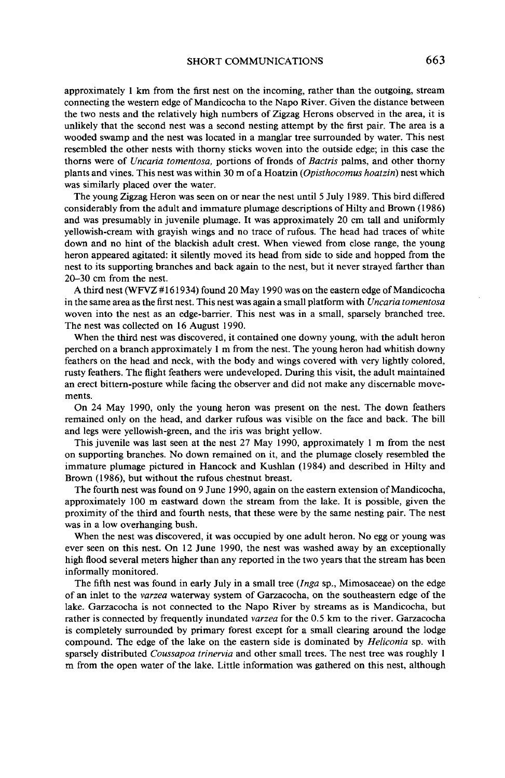**approximately 1 km from the first nest on the incoming, rather than the outgoing, stream connecting the western edge of Mandicocha to the Napo River. Given the distance between the two nests and the relatively high numbers of Zigzag Herons observed in the area, it is unlikely that the second nest was a second nesting attempt by the first pair. The area is a wooded swamp and the nest was located in a manglar tree surrounded by water. This nest resembled the other nests with thorny sticks woven into the outside edge; in this case the thorns were of Uncaria tomentosa, portions of fronds of Bactris palms, and other thorny plants and vines. This nest was within 30 m of a Hoatzin (Opisthocomus hoatzin) nest which was similarly placed over the water.** 

**The young Zigzag Heron was seen on or near the nest until 5 July 1989. This bird differed considerably from the adult and immature plumage descriptions of Hilty and Brown ( 1986) and was presumably in juvenile plumage. It was approximately 20 cm tall and uniformly yellowish-cream with grayish wings and no trace of rufous. The head had traces of white down and no hint of the blackish adult crest. When viewed from close range, the young heron appeared agitated: it silently moved its head from side to side and hopped from the nest to its supporting branches and back again to the nest, but it never strayed farther than 20-30 cm from the nest.** 

**A third nest (WFVZ # 16 1934) found 20 May 1990 was on the eastern edge of Mandicocha in the same area as the first nest. This nest was again a small platform with Uncaria tomentosa woven into the nest as an edge-barrier. This nest was in a small, sparsely branched tree. The nest was collected on 16 August 1990.** 

**When the third nest was discovered, it contained one downy young, with the adult heron perched on a branch approximately 1 m from the nest. The young heron had whitish downy feathers on the head and neck, with the body and wings covered with very lightly colored, rusty feathers. The flight feathers were undeveloped. During this visit, the adult maintained an erect bittern-posture while facing the observer and did not make any discemable movements.** 

**On 24 May 1990, only the young heron was present on the nest. The down feathers remained only on the head, and darker rufous was visible on the face and back. The bill and legs were yellowish-green, and the iris was bright yellow.** 

**This juvenile was last seen at the nest 27 May 1990, approximately 1 m from the nest on supporting branches. No down remained on it, and the plumage closely resembled the immature plumage pictured in Hancock and Kushlan (1984) and described in Hilty and Brown (1986), but without the rufous chestnut breast.** 

**The fourth nest was found on 9 June 1990, again on the eastern extension of Mandicocha, approximately 100 m eastward down the stream from the lake. It is possible, given the proximity of the third and fourth nests, that these were by the same nesting pair. The nest was in a low overhanging bush.** 

**When the nest was discovered, it was occupied by one adult heron. No egg or young was ever seen on this nest. On 12 June 1990, the nest was washed away by an exceptionally high flood several meters higher than any reported in the two years that the stream has been informally monitored.** 

The fifth nest was found in early July in a small tree (*Inga* sp., Mimosaceae) on the edge **of an inlet to the varzea waterway system of Garzacocha, on the southeastern edge of the lake. Garzacocha is not connected to the Napo River by streams as is Mandicocha, but rather is connected by frequently inundated varzea for the 0.5 km to the river. Garzacocha is completely surrounded by primary forest except for a small clearing around the lodge compound. The edge of the lake on the eastern side is dominated by Heliconia sp. with sparsely distributed Coussapoa trinervia and other small trees. The nest tree was roughly 1 m from the open water of the lake. Little information was gathered on this nest, although**